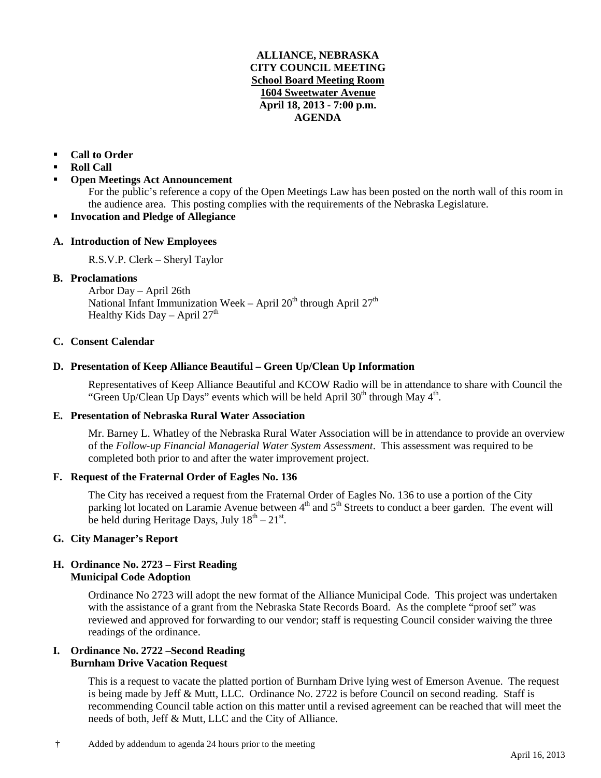## **ALLIANCE, NEBRASKA CITY COUNCIL MEETING School Board Meeting Room 1604 Sweetwater Avenue April 18, 2013 - 7:00 p.m. AGENDA**

# **Call to Order**

- **Roll Call**
- **Open Meetings Act Announcement**

For the public's reference a copy of the Open Meetings Law has been posted on the north wall of this room in the audience area. This posting complies with the requirements of the Nebraska Legislature.

## **Invocation and Pledge of Allegiance**

## **A. Introduction of New Employees**

R.S.V.P. Clerk – Sheryl Taylor

## **B. Proclamations**

Arbor Day – April 26th National Infant Immunization Week – April  $20<sup>th</sup>$  through April  $27<sup>th</sup>$ Healthy Kids Day – April  $27<sup>th</sup>$ 

#### **C. Consent Calendar**

## **D. Presentation of Keep Alliance Beautiful – Green Up/Clean Up Information**

Representatives of Keep Alliance Beautiful and KCOW Radio will be in attendance to share with Council the "Green Up/Clean Up Days" events which will be held April  $30<sup>th</sup>$  through May  $4<sup>th</sup>$ .

## **E. Presentation of Nebraska Rural Water Association**

Mr. Barney L. Whatley of the Nebraska Rural Water Association will be in attendance to provide an overview of the *Follow-up Financial Managerial Water System Assessment*. This assessment was required to be completed both prior to and after the water improvement project.

#### **F. Request of the Fraternal Order of Eagles No. 136**

The City has received a request from the Fraternal Order of Eagles No. 136 to use a portion of the City parking lot located on Laramie Avenue between  $4<sup>th</sup>$  and  $5<sup>th</sup>$  Streets to conduct a beer garden. The event will be held during Heritage Days, July  $18<sup>th</sup> - 21<sup>st</sup>$ .

## **G. City Manager's Report**

## **H. Ordinance No. 2723 – First Reading Municipal Code Adoption**

Ordinance No 2723 will adopt the new format of the Alliance Municipal Code. This project was undertaken with the assistance of a grant from the Nebraska State Records Board. As the complete "proof set" was reviewed and approved for forwarding to our vendor; staff is requesting Council consider waiving the three readings of the ordinance.

#### **I. Ordinance No. 2722 –Second Reading Burnham Drive Vacation Request**

This is a request to vacate the platted portion of Burnham Drive lying west of Emerson Avenue. The request is being made by Jeff & Mutt, LLC. Ordinance No. 2722 is before Council on second reading. Staff is recommending Council table action on this matter until a revised agreement can be reached that will meet the needs of both, Jeff & Mutt, LLC and the City of Alliance.